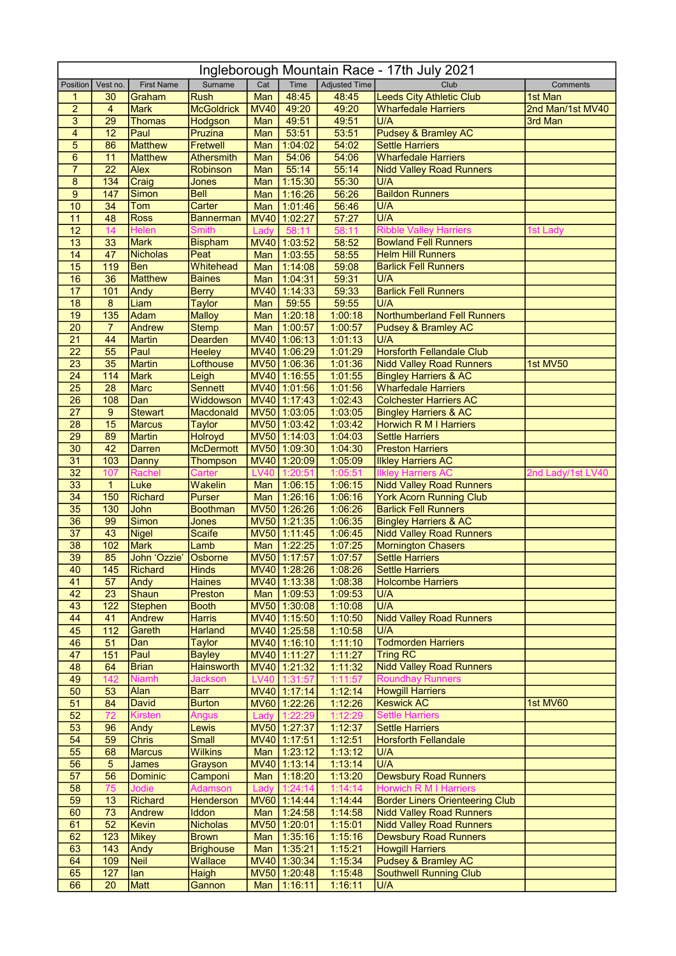| Ingleborough Mountain Race - 17th July 2021 |                  |                             |                             |             |                              |                      |                                                                         |                   |  |  |  |
|---------------------------------------------|------------------|-----------------------------|-----------------------------|-------------|------------------------------|----------------------|-------------------------------------------------------------------------|-------------------|--|--|--|
| Position                                    | Vest no.         | <b>First Name</b>           | Surname                     | Cat         | Time                         | <b>Adjusted Time</b> | Club                                                                    | Comments          |  |  |  |
| 1                                           | 30               | Graham                      | <b>Rush</b>                 | Man         | 48:45                        | 48:45                | <b>Leeds City Athletic Club</b>                                         | 1st Man           |  |  |  |
| $\overline{c}$                              | $\overline{4}$   | <b>Mark</b>                 | <b>McGoldrick</b>           | <b>MV40</b> | 49:20                        | 49:20                | <b>Wharfedale Harriers</b>                                              | 2nd Man/1st MV40  |  |  |  |
| 3<br>4                                      | 29<br>12         | <b>Thomas</b><br>Paul       | Hodgson<br>Pruzina          | Man<br>Man  | 49:51<br>53:51               | 49:51<br>53:51       | U/A<br><b>Pudsey &amp; Bramley AC</b>                                   | 3rd Man           |  |  |  |
| 5                                           | 86               | <b>Matthew</b>              | Fretwell                    | Man         | 1:04:02                      | 54:02                | <b>Settle Harriers</b>                                                  |                   |  |  |  |
| $\,6$                                       | 11               | <b>Matthew</b>              | <b>Athersmith</b>           | Man         | 54:06                        | 54:06                | <b>Wharfedale Harriers</b>                                              |                   |  |  |  |
| $\overline{7}$                              | $\overline{22}$  | Alex                        | Robinson                    | Man         | 55:14                        | 55:14                | <b>Nidd Valley Road Runners</b>                                         |                   |  |  |  |
| 8                                           | 134              | Craig                       | Jones                       | Man         | 1:15:30                      | 55:30                | U/A                                                                     |                   |  |  |  |
| $\overline{9}$                              | 147              | Simon                       | <b>Bell</b>                 | Man         | 1:16:26                      | 56:26                | <b>Baildon Runners</b>                                                  |                   |  |  |  |
| 10                                          | 34               | <b>Tom</b>                  | Carter                      | Man         | 1:01:46                      | 56:46                | U/A                                                                     |                   |  |  |  |
| 11<br>12                                    | 48<br>14         | <b>Ross</b><br><b>Helen</b> | <b>Bannerman</b><br>Smith   | Ladv        | MV40 1:02:27<br>58:11        | 57:27<br>58:11       | U/A<br><b>Ribble Valley Harriers</b>                                    | 1st Ladv          |  |  |  |
| 13                                          | 33               | Mark                        | <b>Bispham</b>              |             | MV40 1:03:52                 | 58:52                | <b>Bowland Fell Runners</b>                                             |                   |  |  |  |
| 14                                          | 47               | <b>Nicholas</b>             | Peat                        | Man         | 1:03:55                      | 58:55                | <b>Helm Hill Runners</b>                                                |                   |  |  |  |
| 15                                          | 119              | <b>Ben</b>                  | Whitehead                   | Man         | 1:14:08                      | 59:08                | <b>Barlick Fell Runners</b>                                             |                   |  |  |  |
| 16                                          | 36               | <b>Matthew</b>              | <b>Baines</b>               | Man         | 1:04:31                      | 59:31                | U/A                                                                     |                   |  |  |  |
| 17                                          | 101              | Andy                        | <b>Berry</b>                |             | MV40 1:14:33                 | 59:33                | <b>Barlick Fell Runners</b>                                             |                   |  |  |  |
| 18                                          | $\overline{8}$   | Liam                        | <b>Taylor</b>               | Man         | 59:55                        | 59:55                | U/A                                                                     |                   |  |  |  |
| 19                                          | 135              | Adam                        | <b>Malloy</b>               | Man         | 1:20:18                      | 1:00:18              | Northumberland Fell Runners                                             |                   |  |  |  |
| 20<br>$\overline{21}$                       | $\overline{7}$   | <b>Andrew</b>               | <b>Stemp</b>                | Man         | 1:00:57<br>MV40 1:06:13      | 1:00:57<br>1:01:13   | <b>Pudsey &amp; Bramley AC</b>                                          |                   |  |  |  |
| $\overline{22}$                             | 44<br>55         | <b>Martin</b><br>Paul       | Dearden<br><b>Heeley</b>    |             | MV40 1:06:29                 | 1:01:29              | U/A<br><b>Horsforth Fellandale Club</b>                                 |                   |  |  |  |
| $\overline{23}$                             | 35               | <b>Martin</b>               | Lofthouse                   |             | MV50 1:06:36                 | 1:01:36              | <b>Nidd Valley Road Runners</b>                                         | 1st MV50          |  |  |  |
| 24                                          | 114              | <b>Mark</b>                 | Leigh                       |             | MV40 1:16:55                 | 1:01:55              | <b>Bingley Harriers &amp; AC</b>                                        |                   |  |  |  |
| 25                                          | $\overline{28}$  | Marc                        | <b>Sennett</b>              |             | MV40 1:01:56                 | 1:01:56              | <b>Wharfedale Harriers</b>                                              |                   |  |  |  |
| 26                                          | 108              | Dan                         | Widdowson                   |             | MV40 1:17:43                 | 1:02:43              | <b>Colchester Harriers AC</b>                                           |                   |  |  |  |
| 27                                          | 9                | <b>Stewart</b>              | Macdonald                   |             | MV50 1:03:05                 | 1:03:05              | <b>Bingley Harriers &amp; AC</b>                                        |                   |  |  |  |
| 28                                          | 15               | <b>Marcus</b>               | <b>Taylor</b>               |             | MV50 1:03:42                 | 1:03:42              | Horwich R M I Harriers                                                  |                   |  |  |  |
| 29                                          | 89               | Martin                      | <b>Holroyd</b>              |             | MV50 1:14:03                 | 1:04:03              | <b>Settle Harriers</b>                                                  |                   |  |  |  |
| 30                                          | 42               | <b>Darren</b>               | <b>McDermott</b>            |             | MV50 1:09:30                 | 1:04:30              | <b>Preston Harriers</b>                                                 |                   |  |  |  |
| 31<br>32                                    | 103<br>107       | Danny<br>Rachel             | Thompson<br>Carter          | <b>LV40</b> | MV40 1:20:09<br>1:20:51      | 1:05:09<br>1:05:51   | <b>Ilkley Harriers AC</b><br><b>Ilkley Harriers AC</b>                  | 2nd Lady/1st LV40 |  |  |  |
| 33                                          | $\mathbf{1}$     | Luke                        | Wakelin                     |             | Man   1:06:15                | 1:06:15              | <b>Nidd Valley Road Runners</b>                                         |                   |  |  |  |
| 34                                          | 150              | Richard                     | <b>Purser</b>               |             | Man 1:26:16                  | 1:06:16              | <b>York Acorn Running Club</b>                                          |                   |  |  |  |
| 35                                          | 130              | John                        | <b>Boothman</b>             |             | MV50 1:26:26                 | 1:06:26              | <b>Barlick Fell Runners</b>                                             |                   |  |  |  |
| 36                                          | 99               | Simon                       | Jones                       |             | MV50 1:21:35                 | 1:06:35              | <b>Bingley Harriers &amp; AC</b>                                        |                   |  |  |  |
| 37                                          | 43               | <b>Nigel</b>                | <b>Scaife</b>               |             | MV50 1:11:45                 | 1:06:45              | <b>Nidd Valley Road Runners</b>                                         |                   |  |  |  |
| 38                                          | 102              | Mark                        | Lamb                        | Man         | 1:22:25                      | 1:07:25              | <b>Mornington Chasers</b>                                               |                   |  |  |  |
| 39<br>40                                    | 85<br>145        | John 'Ozzie'<br>Richard     | Osborne<br><b>Hinds</b>     |             | MV50 1:17:57<br>MV40 1:28:26 | 1:07:57<br>1:08:26   | Settle Harriers<br>Settle Harriers                                      |                   |  |  |  |
| 41                                          | 57               | Andy                        | <b>Haines</b>               |             | MV40 1:13:38                 | 1:08:38              | <b>Holcombe Harriers</b>                                                |                   |  |  |  |
| 42                                          | 23               | Shaun                       | Preston                     |             | Man 1:09:53                  | 1:09:53              | U/A                                                                     |                   |  |  |  |
| 43                                          | 122              | <b>Stephen</b>              | <b>Booth</b>                |             | MV50 1:30:08                 | 1:10:08              | U/A                                                                     |                   |  |  |  |
| 44                                          | 41               | Andrew                      | <b>Harris</b>               |             | MV40 1:15:50                 | 1:10:50              | <b>Nidd Valley Road Runners</b>                                         |                   |  |  |  |
| 45                                          | $\overline{112}$ | Gareth                      | <b>Harland</b>              |             | MV40 1:25:58                 | 1:10:58              | U/A                                                                     |                   |  |  |  |
| 46                                          | 51               | Dan                         | <b>Taylor</b>               |             | MV40 1:16:10                 | 1:11:10              | <b>Todmorden Harriers</b>                                               |                   |  |  |  |
| 47                                          | 151              | Paul                        | <b>Bayley</b>               |             | MV40 1:11:27                 | 1:11:27              | <b>Tring RC</b>                                                         |                   |  |  |  |
| 48                                          | 64<br>142        | <b>Brian</b>                | <b>Hainsworth</b>           |             | MV40 1:21:32<br>LV40 1:31:57 | 1:11:32<br>1:11:57   | <b>Nidd Valley Road Runners</b><br><b>Roundhay Runners</b>              |                   |  |  |  |
| 49<br>50                                    | 53               | <b>Niamh</b><br>Alan        | Jackson<br><b>Barr</b>      |             | MV40 1:17:14                 | 1:12:14              | <b>Howgill Harriers</b>                                                 |                   |  |  |  |
| 51                                          | 84               | <b>David</b>                | <b>Burton</b>               |             | MV60 1:22:26                 | 1:12:26              | <b>Keswick AC</b>                                                       | 1st MV60          |  |  |  |
| 52                                          | 72               | <b>Kirsten</b>              | <b>Angus</b>                | Lady        | 1:22:29                      | 1:12:29              | <b>Settle Harriers</b>                                                  |                   |  |  |  |
| 53                                          | 96               | Andy                        | Lewis                       |             | MV50 1:27:37                 | 1:12:37              | <b>Settle Harriers</b>                                                  |                   |  |  |  |
| 54                                          | 59               | <b>Chris</b>                | Small                       |             | MV40 1:17:51                 | 1:12:51              | <b>Horsforth Fellandale</b>                                             |                   |  |  |  |
| 55                                          | 68               | <b>Marcus</b>               | <b>Wilkins</b>              |             | Man 1:23:12                  | 1:13:12              | U/A                                                                     |                   |  |  |  |
| 56                                          | 5                | <b>James</b>                | Grayson                     |             | MV40 1:13:14                 | 1:13:14              | U/A                                                                     |                   |  |  |  |
| 57                                          | $\overline{56}$  | <b>Dominic</b>              | Camponi                     |             | Man   1:18:20                | 1:13:20              | <b>Dewsbury Road Runners</b>                                            |                   |  |  |  |
| 58<br>59                                    | 75<br>13         | Jodie<br><b>Richard</b>     | <b>Adamson</b><br>Henderson | Lady        | 1:24:14<br>MV60 1:14:44      | 1:14:14<br>1:14:44   | <b>Horwich R M I Harriers</b><br><b>Border Liners Orienteering Club</b> |                   |  |  |  |
| 60                                          | 73               | <b>Andrew</b>               | <b>Iddon</b>                |             | Man 1:24:58                  | 1:14:58              | <b>Nidd Valley Road Runners</b>                                         |                   |  |  |  |
| 61                                          | 52               | <b>Kevin</b>                | <b>Nicholas</b>             |             | MV50 1:20:01                 | 1:15:01              | <b>Nidd Valley Road Runners</b>                                         |                   |  |  |  |
| 62                                          | 123              | Mikey                       | <b>Brown</b>                |             | Man 1:35:16                  | 1:15:16              | <b>Dewsbury Road Runners</b>                                            |                   |  |  |  |
| 63                                          | 143              | Andy                        | <b>Brighouse</b>            |             | Man 1:35:21                  | 1:15:21              | <b>Howgill Harriers</b>                                                 |                   |  |  |  |
| 64                                          | 109              | <b>Neil</b>                 | Wallace                     |             | MV40 1:30:34                 | 1:15:34              | <b>Pudsey &amp; Bramley AC</b>                                          |                   |  |  |  |
| 65                                          | 127              | lan                         | Haigh                       |             | MV50 1:20:48                 | 1:15:48              | <b>Southwell Running Club</b>                                           |                   |  |  |  |
| 66                                          | 20               | Matt                        | Gannon                      |             | Man   1:16:11                | 1:16:11              | U/A                                                                     |                   |  |  |  |